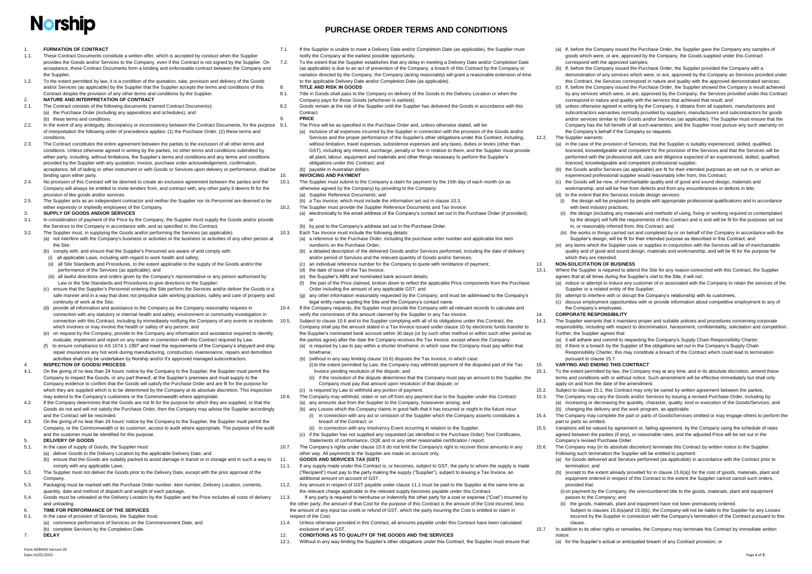# **Norship**

#### 1. **FORMATION OF CONTRACT**

- <span id="page-0-12"></span>1.1. These Contract Documents constitute a written offer, which is accepted by conduct when the Supplier provides the Goods and/or Services to the Company, even if this Contract is not signed by the Supplier. On acceptance, these Contract Documents form a binding and enforceable contract between the Company and the Supplier.
- 1.2. To the extent permitted by law, it is a condition of the quotation, sale, provision and delivery of the Goods and/or Services (as applicable) by the Supplier that the Supplier accepts the terms and conditions of this Contract despite the provision of any other terms and conditions by the Supplier.
- <span id="page-0-13"></span>2. **NATURE AND INTERPRETATION OF CONTRACT**
- 2.1. The Contract consists of the following documents (named Contract Documents): (a) the Purchase Order (including any appendices and schedules); and (b) these terms and conditions.
- 2.2. In the event of any ambiguity, discrepancy or inconsistency between the Contract Documents, for the purpose 9.1. of interpretation the following order of precedence applies: (1) the Purchase Order, (2) these terms and conditions.
- 2.3. The Contract constitutes the entire agreement between the parties to the exclusion of all other terms and conditions. Unless otherwise agreed in writing by the parties, no other terms and conditions submitted by either party, including, without limitations, the Supplier's terms and conditions and any terms and conditions provided by the Supplier with any quotation, invoice, purchase order acknowledgement, confirmation, acceptance, bill of lading or other instrument or with Goods or Services upon delivery or performance, shall be binding upon either party.
- 2.4. No provision of this Contract will be deemed to create an exclusive agreement between the parties and the Company will always be entitled to invite tenders from, and contract with, any other party it deems fit for the provision of like goods and/or services.
- 2.5. The Supplier acts as an independent contractor and neither the Supplier nor its Personnel are deemed to be either expressly or impliedly employees of the Company.
- 3. **SUPPLY OF GOODS AND/OR SERVICES**
- 3.1. In consideration of payment of the Price by the Company, the Supplier must supply the Goods and/or provide the Services to the Company in accordance with, and as specified in, this Contract.
- 3.2. The Supplier must, in supplying the Goods and/or performing the Services (as applicable):
	- (a) not interfere with the Company's business or activities or the business or activities of any other person at the Site;
	- (b) comply with, and ensure that the Supplier's Personnel are aware of and comply with:
	- (i) all applicable Laws, including with regard to work health and safety;
	- (ii) all Site Standards and Procedures, to the extent applicable to the supply of the Goods and/or the performance of the Services (as applicable); and
	- (iii) all lawful directions and orders given by the Company's representative or any person authorised by Law or the Site Standards and Procedures to give directions to the Supplier;
	- (c) ensure that the Supplier's Personnel entering the Site perform the Services and/or deliver the Goods in a safe manner and in a way that does not prejudice safe working practices, safety and care of property and continuity of work at the Site;
	- (d) provide all information and assistance to the Company as the Company reasonably requires in connection with any statutory or internal health and safety, environment or community investigation in connection with this Contract, including by immediately notifying the Company of any events or incidents 10.5. which involves or may involve the health or safety of any person; and
	- (e) on request by the Company, provide to the Company any information and assistance required to identify, evaluate, implement and report on any matter in connection with this Contract required by Law.
	- (f) to ensure compliance to AS 1674.1-1997 and meet the requirements of the Company's shipyard and ship repair insurances any hot work during manufacturing, construction, maintenance, repairs and demolition activities shall only be undertaken by Norship and/or it's approved managed subcontractors.
- **PURCHASE ORDER TERMS AND CONDITIONS**
- 7.1. If the Supplier is unable to meet a Delivery Date and/or Completion Date (as applicable), the Supplier must notify the Company at the earliest possible opportunity.
- 7.2. To the extent that the Supplier establishes that any delay in meeting a Delivery Date and/or Completion Date (as applicable) is due to an act of prevention of the Company, a breach of this Contract by the Company or variation directed by the Company, the Company (acting reasonably) will grant a reasonable extension of time to the applicable Delivery Date and/or Completion Date (as applicable).

- The Price will be as specified in the Purchase Order and, unless otherwise stated, will be:
- (a) inclusive of all expenses incurred by the Supplier in connection with the provision of the Goods and/or Services and the proper performance of the Supplier's other obligations under this Contract, including, without limitation, travel expenses, subsistence expenses and any taxes, duties or levies (other than GST), including any interest, surcharge, penalty or fine in relation to them, and the Supplier must provide all plant, labour, equipment and materials and other things necessary to perform the Supplier's obligations under this Contract; and

#### 4. **INSPECTION OF GOODS/ PROCESS**

- 4.1. On the giving of no less than 24 hours' notice by the Company to the Supplier, the Supplier must permit the Company to inspect the Goods, or any part thereof, at the Supplier's premises and must supply to the Company evidence to confirm that the Goods will satisfy the Purchase Order and are fit for the purpose for which they are supplied which is to be determined by the Company at its absolute discretion. This inspection may extend to the Company's customers or the Commonwealth where appropriate.
- 4.2. If the Company determines that the Goods are not fit for the purpose for which they are supplied, or that the Goods do not and will not satisfy the Purchase Order, then the Company may advise the Supplier accordingly and the Contract will be rescinded.
- 4.3. On the giving of no less than 24 hours' notice by the Company to the Supplier, the Supplier must permit the Company, or the Commonwealth or its customer, access to audit where appropriate. The purpose of the audit and the customer must be identified for this purpose.

#### 5. **DELIVERY OF GOODS**

- 5.1. In the case of supply of Goods, the Supplier must:
	- (a) deliver Goods to the Delivery Location by the applicable Delivery Date; and
	- (b) ensure that the Goods are suitably packed to avoid damage in transit or in storage and in such a way to comply with any applicable Laws.
- 5.2. The Supplier must not deliver the Goods prior to the Delivery Date, except with the prior approval of the Company.
- 5.3. Packaging must be marked with the Purchase Order number, item number, Delivery Location, contents, quantity, date and method of dispatch and weight of each package.
- 5.4. Goods must be unloaded at the Delivery Location by the Supplier and the Price includes all costs of delivery and unloading.
- 6. **TIME FOR PERFORMANCE OF THE SERVICES**
- 6.1. In the case of provision of Services, the Supplier must:
- (a) commence performance of Services on the Commencement Date; and (b) complete Services by the Completion Date.
- <span id="page-0-10"></span>7. **DELAY**

#### 8. **TITLE AND RISK IN GOODS**

- 8.1. Title in Goods shall pass to the Company on delivery of the Goods to the Delivery Location or when the Company pays for those Goods (whichever is earliest).
- 8.2. Goods remain at the risk of the Supplier until the Supplier has delivered the Goods in accordance with this Contract.

#### 9. **PRICE**

#### (b) payable in Australian dollars.

- <span id="page-0-2"></span>10. **INVOICING AND PAYMENT**  10.1. The Supplier must submit to the Company a claim for payment by the 15th day of each month (or as
	- otherwise agreed by the Company) by providing to the Company:
	- (a) Supplier Reference Documents; and
	- (b) a Tax Invoice, which must include the information set out in clause [10.3.](#page-0-0)
- 10.2. The Supplier must provide the Supplier Reference Documents and Tax Invoice: (a) electronically to the email address of the Company's contact set out in the Purchase Order (if provided);
	- or
	- (b) by post to the Company's address set out in the Purchase Order.
- <span id="page-0-0"></span>10.3. Each Tax Invoice must include the following details:
	- (a) a reference to the Purchase Order, including the purchase order number and applicable line item number/s on the Purchase Order;
	- (b) a detailed description of the delivered Goods and/or Services performed, including the date of delivery and/or period of Services and the relevant quantity of Goods and/or Services;
	- (c) an individual reference number for the Company to quote with remittance of payment;
	- (d) the date of issue of the Tax Invoice;
	- (e) the Supplier's ABN and nominated bank account details;
	- (f) the part of the Price claimed, broken down to reflect the applicable Price components from the Purchase Order including the amount of any applicable GST; and
	- (g) any other information reasonably requested by the Company, and must be addressed to the Company's legal entity name quoting the Site and the Company's contact name.
- 10.4. If the Company requests, the Supplier must provide the Company with all relevant records to calculate and verify the correctness of the amount claimed by the Supplier in any Tax Invoice.
	- Subject to claus[e 10.6](#page-0-1) and to the Supplier complying with all of its obligations under this Contract, the Company shall pay the amount stated in a Tax Invoice issued under clause [10](#page-0-2) by electronic funds transfer to
	- the Supplier's nominated bank account within 30 days (or by such other method or within such other period as the parties agree) after the date the Company receives the Tax Invoice, except where the Company:
	- (a) is required by Law to pay within a shorter timeframe, in which case the Company must pay within that timeframe;
	- (b) (without in any way limiting clause [10.6\)](#page-0-1) disputes the Tax Invoice, in which case:
		- (i) to the extent permitted by Law, the Company may withhold payment of the disputed part of the Tax Invoice pending resolution of the dispute; and
	- (ii) if the resolution of the dispute determines that the Company must pay an amount to the Supplier, the
	- Company must pay that amount upon resolution of that dispute; or
- <span id="page-0-1"></span>(c) is required by Law to withhold any portion of payment. 10.6. The Company may withhold, retain or set off from any payment due to the Supplier under this Contract:
	- (a) any amounts due from the Supplier to the Company, howsoever arising; and
	- (b) any Losses which the Company claims in good faith that it has incurred or might in the future incur:
	- (i) in connection with any act or omission of the Supplier which the Company asserts constitutes a breach of the Contract; or
	- (ii) in connection with any Insolvency Event occurring in relation to the Supplier. (c) if the Supplier has not supplied any requested (as identified in the Purchase Order) Test Certificates, Statements of conformance, OQE and or any other reasonable certification / report.
- 10.7. The Company's rights under clause 10.6 do not limit the Company's right to recover those amounts in any other way. All payments to the Supplier are made on account only.

#### 11. **GOODS AND SERVICES TAX (GST)**

- <span id="page-0-3"></span>11.1. If any supply made under this Contract is, or becomes, subject to GST, the party to whom the supply is made ("Recipient") must pay to the party making the supply ("Supplier"), subject to issuing a Tax Invoice, an additional amount on account of GST.
- 11.2. Any amount in respect of GST payable under claus[e 11.1](#page-0-3) must be paid to the Supplier at the same time as the relevant charge applicable to the relevant supply becomes payable under this Contract.
- 11.3. If any party is required to reimburse or indemnify the other party for a cost or expense ("Cost") incurred by the other party, the amount of that Cost for the purpose of this Contract is the amount of the Cost incurred, less the amount of any input tax credit or refund of GST, which the party incurring the Cost is entitled to claim in respect of the Cost.
- 11.4. Unless otherwise provided in this Contract, all amounts payable under this Contract have been calculated exclusive of any GST.
- 12. **CONDITIONS AS TO QUALITY OF THE GOODS AND THE SERVICES**
- 12.1. Without in any way limiting the Supplier's other obligations under this Contract, the Supplier must ensure that:

(a) If, before the Company issued the Purchase Order, the Supplier gave the Company any samples of goods which were, or are, approved by the Company, the Goods supplied under this Contract

# correspond with the approved samples;

(b) If, before the Company issued the Purchase Order, the Supplier provided the Company with a demonstration of any services which were, or are, approved by the Company as Services provided under this Contract, the Services correspond in nature and quality with the approved demonstrated services; (c) If, before the Company issued the Purchase Order, the Supplier showed the Company a result achieved by any services which were, or are, approved by the Company, the Services provided under this Contract correspond in nature and quality with the services that achieved that result; and

(d) unless otherwise agreed in writing by the Company, it obtains from all suppliers, manufacturers and subcontractors warranties normally provided by suppliers, manufacturers and subcontractors for goods and/or services similar to the Goods and/or Services (as applicable). The Supplier must ensure that the Company has the full benefit of all such warranties, and the Supplier must pursue any such warranty on the Company's behalf if the Company so requests.

(a) in the case of the provision of Services, that the Supplier is suitably experienced, skilled, qualified, licenced, knowledgeable and competent for the provision of the Services and that the Services will be performed with the professional skill, care and diligence expected of an experienced, skilled, qualified, licenced, knowledgeable and competent professional supplier;

(b) the Goods and/or Services (as applicable) are fit for their intended purposes as set out in, or which an experienced professional supplier would reasonably infer from, this Contract;

(c) the Goods will be new, of merchantable quality and of good and sound design, materials and workmanship, and will be free from defects and from any encumbrances or defects in title;

- 
- 
- 
- 12.2. The Supplier warrants:
	-
	-
	-
	- (d) to the extent that the Services include design services:
	- with hest industry practices;
	-
	- which they are intended.

(i) the design will be prepared by people with appropriate professional qualifications and in accordance

(ii) the design (including any materials and methods of using, fixing or working required or contemplated by the design) will fulfil the requirements of this Contract and is and will be fit for the purposes set out in, or reasonably inferred from, this Contract; and

(iii) the works or things carried out and completed by or on behalf of the Company in accordance with the Supplier's design, will be fit for their intended purpose as described in this Contract; and

(e) any items which the Supplier uses or supplies in conjunction with the Services will be of merchantable quality and of good and sound design, materials and workmanship, and will be fit for the purpose for

### <span id="page-0-11"></span>13. **NON-SOLICITATION OF BUSINESS**

- - Supplier or a related entity of the Supplier;

13.1. Where the Supplier is required to attend the Site for any reason connected with this Contract, the Supplier agrees that at all times during the Supplier's visit to the Site, it will not:

(a) induce or attempt to induce any customer of or associated with the Company to retain the services of the

(b) attempt to interfere with or disrupt the Company's relationship with its customers;

(c) discuss employment opportunities with or provide information about competitive employment to any of the Company's employees.

#### 14. **CORPORATE RESPONSIBILITY**

14.1. The Supplier warrants that it maintains proper and suitable policies and procedures concerning corporate responsibility, including with respect to discrimination, harassment, confidentiality, solicitation and competition. Further, the Supplier agrees that:

(a) it will adhere and commit to respecting the Company's Supply Chain Responsibility Charter;

(b) if there is a breach by the Supplier of the obligations set out in the Company's Supply Chain Responsibility Charter, this may constitute a breach of the Contract which could lead to termination pursuant to claus[e 15.7.](#page-0-4)

#### 15. **VARYING AND ENDING THIS CONTRACT**

<span id="page-0-5"></span>15.1. To the extent permitted by law, the Company may at any time, and in its absolute discretion, amend these terms and conditions with or without notice. Such amendment will be effective immediately but shall only apply on and from the date of the amendment.

<span id="page-0-8"></span>15.2. Subject to clause [15.1,](#page-0-5) this Contract may only be varied by written agreement between the parties. 15.3. The Company may vary the Goods and/or Services by issuing a revised Purchase Order, including by: (a) increasing or decreasing the quantity, character, quality, kind or execution of the Goods/Services; and (b) changing the delivery and the work program, as applicable.

15.4. The Company may complete the part or parts of Goods/Services omitted or may engage others to perform the

part or parts so omitted.

<span id="page-0-9"></span>15.5. Variations will be valued by agreement or, failing agreement, by the Company using the schedule of rates agreed between the parties (if any), or reasonable rates, and the adjusted Price will be set out in the Company's revised Purchase Order.

<span id="page-0-6"></span>15.6. The Company may (in its absolute discretion) terminate this Contract by written notice to the Supplier. Following such termination the Supplier will be entitled to payment:

(a) for Goods delivered and Services performed (as applicable) in accordance with the Contract prior to

termination; and

<span id="page-0-7"></span>(b) (except to the extent already provided for in claus[e 15.6\(a\)\)](#page-0-6) for the cost of goods, materials, plant and equipment ordered in respect of this Contract to the extent the Supplier cannot cancel such orders,

provided that:

(i) on payment by the Company, the unencumbered title to the goods, materials, plant and equipment passes to the Company; and

(ii) the goods, materials, plant and equipment have not been prematurely ordered.

Subject to clause[s 15.6\(a\)a](#page-0-6)n[d 15.6\(b\),](#page-0-7) the Company will not be liable to the Supplier for any Losses incurred by the Supplier in connection with the Company's termination of the Contract pursuant to this

clause.

<span id="page-0-4"></span>15.7. In addition to its other rights or remedies, the Company may terminate this Contract by immediate written

notice:

(a) for the Supplier's actual or anticipated breach of any Contract provision; or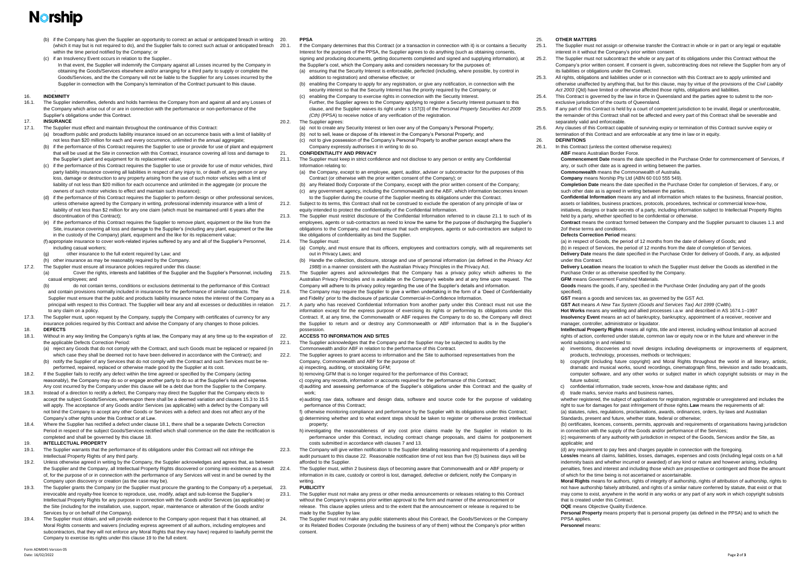## **Narship**

- (b) if the Company has given the Supplier an opportunity to correct an actual or anticipated breach in writing 20. (which it may but is not required to do), and the Supplier fails to correct such actual or anticipated breach within the time period notified by the Company; or
- (c) if an Insolvency Event occurs in relation to the Supplier. In that event, the Supplier will indemnify the Company against all Losses incurred by the Company in obtaining the Goods/Services elsewhere and/or arranging for a third party to supply or complete the Goods/Services, and the the Company will not be liable to the Supplier for any Losses incurred by the
	- Supplier in connection with the Company's termination of the Contract pursuant to this clause. .

#### 16. **INDEMNITY**

16.1. The Supplier indemnifies, defends and holds harmless the Company from and against all and any Losses of the Company which arise out of or are in connection with the performance or non-performance of the Supplier's obligations under this Contract.

#### 17. **INSURANCE**

- 17.1. The Supplier must effect and maintain throughout the continuance of this Contract: (a) broadform public and products liability insurance issued on an occurrence basis with a limit of liability of
	- not less than \$20 million for each and every occurrence, unlimited in the annual aggregate; (b) if the performance of this Contract requires the Supplier to use or provide for use of plant and equipment
	- that will be used at the Site in connection with this Contract, insurance covering all loss and damage to the Supplier's plant and equipment for its replacement value;
	- (c) if the performance of this Contract requires the Supplier to use or provide for use of motor vehicles, third party liability insurance covering all liabilities in respect of any injury to, or death of, any person or any loss, damage or destruction to any property arising from the use of such motor vehicles with a limit of liability of not less than \$20 million for each occurrence and unlimited in the aggregate (or procure the owners of such motor vehicles to effect and maintain such insurance);
	- (d) if the performance of this Contract requires the Supplier to perform design or other professional services, unless otherwise agreed by the Company in writing, professional indemnity insurance with a limit of liability of not less than \$2 million for any one claim (which must be maintained until 6 years after the discontinuation of this Contract);
	- (e) if the performance of this Contract requires the Supplier to remove plant, equipment or the like from the Site, insurance covering all loss and damage to the Supplier's (including any plant, equipment or the like in the custody of the Company) plant, equipment and the like for its replacement value;
	- (f) appropriate insurance to cover work-related injuries suffered by any and all of the Supplier's Personnel, including casual workers;
	- other insurance to the full extent required by Law; and
	- (h) other insurance as may be reasonably required by the Company.
- 17.2. The Supplier must ensure all insurance policies required under this clause:
- (a) Cover the rights, interests and liabilities of the Supplier and the Supplier's Personnel, including casual employees; and (b) do not contain terms, conditions or exclusions detrimental to the performance of this Contract
	- and contain provisions normally included in insurances for the performance of similar contracts. The Supplier must ensure that the public and products liability insurance notes the interest of the Company as a principal with respect to this Contract. The Supplier will bear any and all excesses or deductibles in relation 21.7. to any claim on a policy.
- 17.3. The Supplier must, upon request by the Company, supply the Company with certificates of currency for any insurance policies required by this Contract and advise the Company of any changes to those policies.

- <span id="page-1-0"></span>18.1. Without in any way limiting the Company's rights at law, the Company may at any time up to the expiration of 22. the applicable Defects Correction Period:
	- (a) reject any Goods that do not comply with the Contract, and such Goods must be replaced or repaired (in which case they shall be deemed not to have been delivered in accordance with the Contract); and
	- (b) notify the Supplier of any Services that do not comply with the Contract and such Services must be reperformed, repaired, replaced or otherwise made good by the Supplier at its cost.
- 18.2. If the Supplier fails to rectify any defect within the time agreed or specified by the Company (acting reasonably), the Company may do so or engage another party to do so at the Supplier's risk and expense. Any cost incurred by the Company under this clause will be a debt due from the Supplier to the Company.
- 18.3. Instead of a direction to rectify a defect, the Company may direct the Supplier that the Company elects to accept the subject Goods/Services, whereupon there shall be a deemed variation and clauses [15.3](#page-0-8) to [15.5](#page-0-9) will apply. The acceptance of any Goods and/or Services (as applicable) with a defect by the Company will not bind the Company to accept any other Goods or Services with a defect and does not affect any of the Company's other rights under this Contract or at Law.
- 18.4. Where the Supplier has rectified a defect under claus[e 18.1,](#page-1-0) there shall be a separate Defects Correction Period in respect of the subject Goods/Services rectified which shall commence on the date the rectification is completed and shall be governed by this clause [18.](#page-1-1)
- <span id="page-1-2"></span>19. **INTELLECTUAL PROPERTY**
- 19.1. The Supplier warrants that the performance of its obligations under this Contract will not infringe the Intellectual Property Rights of any third party.
- 19.2. Unless otherwise agreed in writing by the Company, the Supplier acknowledges and agrees that, as between the Supplier and the Company, all Intellectual Property Rights discovered or coming into existence as a result of, for the purpose of or in connection with the performance of any Services will vest in and be owned by the Company upon discovery or creation (as the case may be).
- 19.3. The Supplier grants the Company (or the Supplier must procure the granting to the Company of) a perpetual, irrevocable and royalty-free licence to reproduce, use, modify, adapt and sub-license the Supplier's Intellectual Property Rights for any purpose in connection with the Goods and/or Services (as applicable) or the Site (including for the installation, use, support, repair, maintenance or alteration of the Goods and/or Services by or on behalf of the Company).
- 19.4. The Supplier must obtain, and will provide evidence to the Company upon request that it has obtained, all Moral Rights consents and waivers (including express agreement of all authors, including employees and subcontractors, that they will not enforce any Moral Rights that they may have) required to lawfully permit the Company to exercise its rights under this claus[e 19](#page-1-2) to the full extent.

#### <span id="page-1-1"></span>18. **DEFECTS**

- If the Company determines that this Contract (or a transaction in connection with it) is or contains a Security Interest for the purposes of the PPSA, the Supplier agrees to do anything (such as obtaining consents, signing and producing documents, getting documents completed and signed and supplying information), at
- the Supplier's cost, which the Company asks and considers necessary for the purposes of: (a) ensuring that the Security Interest is enforceable, perfected (including, where possible, by control in addition to registration) and otherwise effective; or
- (b) enabling the Company to apply for any registration, or give any notification, in connection with the security interest so that the Security Interest has the priority required by the Company; or
- $(c)$  enabling the Company to exercise rights in connection with the Security Interest. Further, the Supplier agrees to the Company applying to register a Security Interest pursuant to this clause, and the Supplier waives its right under s 157(3) of the *Personal Property Securities Act 2009 (Cth)* (PPSA) to receive notice of any verification of the registration.
- 20.2. The Supplier agrees:
	- (a) not to create any Security Interest or lien over any of the Company's Personal Property;
	- (b) not to sell, lease or dispose of its interest in the Company's Personal Property; and
	- (c) not to give possession of the Company's Personal Property to another person except where the Company expressly authorises it in writing to do so.

The Supplier agrees and acknowledges that the Company has a privacy policy which adheres to the Australian Privacy Principles and is available on the Company's website and at any time upon request. The Company will adhere to its privacy policy regarding the use of the Supplier's details and information.

e) auditing raw data, software and design data, software and source code for the purpose of validating performance of this Contract;

The Supplier must, within 2 business days of becoming aware that Commonwealth and or ABF property or information in its care, custody or control is lost, damaged, defective or deficient, notify the Company in writing.

#### 20. **PPSA**

### 21. **CONFIDENTIALITY AND PRIVACY**

- <span id="page-1-3"></span>21.1. The Supplier must keep in strict confidence and not disclose to any person or entity any Confidential Information relating to:
	- (a) the Company, except to an employee, agent, auditor, adviser or subcontractor for the purposes of this Contract (or otherwise with the prior written consent of the Company); or
	- (b) any Related Body Corporate of the Company, except with the prior written consent of the Company; (c) any government agency, including the Commonwealth and the ABF, which information becomes known to the Supplier during the course of the Supplier meeting its obligations under this Contract.

21.2. Subject to its terms, this Contract shall not be construed to exclude the operation of any principle of law or equity intended to protect the confidentiality of the Confidential Information.

21.3. The Supplier must restrict disclosure of the Confidential Information referred to in clause [21.1](#page-1-3) to such of its employees, agents or sub-contractors as need to know the same for the purpose of discharging the Supplier's obligations to the Company, and must ensure that such employees, agents or sub-contractors are subject to like obligations of confidentiality as bind the Supplier.

- 21.4. The Supplier must:
	- (a) Comply, and must ensure that its officers, employees and contractors comply, with all requirements set out in Privacy Laws; and
	- (b) Handle the collection, disclosure, storage and use of personal information (as defined in the *Privacy Act 1988)* in a manner consistent with the Australian Privacy Principles in the Privacy Act.

21.6. The Company may require the Supplier to give a written undertaking in the form of a 'Deed of Confidentiality and Fidelity' prior to the disclosure of particular Commercial-in-Confidence Information.

21.7. A party who has received Confidential Information from another party under this Contract must not use the information except for the express purpose of exercising its rights or performing its obligations under this Contract. If, at any time, the Commonwealth or ABF requires the Company to do so, the Company will direct the Supplier to return and or destroy any Commonwealth or ABF information that is in the Supplier's possession.

#### 22. **ACCESS TO INFORMATION AND SITES**

<span id="page-1-4"></span>22.1. The Supplier acknowledges that the Company and the Supplier may be subjected to audits by the Commonwealth and/or ABF in relation to the performance of this Contract. 22.2. The Supplier agrees to grant access to information and the Site to authorised representatives from the

Company, Commonwealth and ABF for the purpose of:

a) inspecting, auditing, or stocktaking GFM;

b) removing GFM that is no longer required for the performance of this Contract;

c) copying any records, information or accounts required for the performance of this Contract;

d)auditing and assessing performance of the Supplier's obligations under this Contract and the quality of work;

f) otherwise monitoring compliance and performance by the Supplier with its obligations under this Contract; g) determining whether and to what extent steps should be taken to register or otherwise protect intellectual property;

h) investigating the reasonableness of any cost price claims made by the Supplier in relation to its performance under this Contract, including contract change proposals, and claims for postponement costs submitted in accordance with clause[s 7](#page-0-10) an[d 13.](#page-0-11)

22.3. The Company will give written notification to the Supplier detailing reasoning and requirements of a pending audit pursuant to this claus[e 22.](#page-1-4) Reasonable notification time of not less than five (5) business days will be afforded to the Supplier.

#### 23. **PUBLICITY**

- 23.1. The Supplier must not make any press or other media announcements or releases relating to this Contract without the Company's express prior written approval to the form and manner of the announcement or release. This clause applies unless and to the extent that the announcement or release is required to be made by the Supplier by law.
- 24. The Supplier must not make any public statements about this Contract, the Goods/Services or the Company or its Related Bodies Corporate (including the business of any of them) without the Company's prior written consent.

25. **OTHER MATTERS** 

25.1. The Supplier must not assign or otherwise transfer the Contract in whole or in part or any legal or equitable interest in it without the Company's prior written consent.

25.2. The Supplier must not subcontract the whole or any part of its obligations under this Contract without the Company's prior written consent. If consent is given, subcontracting does not relieve the Supplier from any of

25.3. All rights, obligations and liabilities under or in connection with this Contract are to apply unlimited and otherwise unaffected by anything that, but for this clause, may by virtue of the provisions of the *Civil Liability Act 2003* (Qld) have limited or otherwise affected those rights, obligations and liabilities.

its liabilities or obligations under the Contract. exclusive jurisdiction of the courts of Queensland. separately valid and enforceable.

25.4. This Contract is governed by the law in force in Queensland and the parties agree to submit to the non-

25.5. If any part of this Contract is held by a court of competent jurisdiction to be invalid, illegal or unenforceable, the remainder of this Contract shall not be affected and every part of this Contract shall be severable and

25.6. Any clauses of this Contract capable of surviving expiry or termination of this Contract survive expiry or termination of this Contract and are enforceable at any time in law or in equity.

### 26. **DEFINITIONS**

26.1. In this Contract (unless the context otherwise requires):

**Commencement Date** means the date specified in the Purchase Order for commencement of Services, if any, or such other date as is agreed in writing between the parties.

**Commonwealth** means the Commonwealth of Australia.

**Company** means Norship Pty Ltd (ABN 60 010 555 549).

**Completion Date** means the date specified in the Purchase Order for completion of Services, if any, or such other date as is agreed in writing between the parties.

**ABF** means Australian Border Force. [2o](#page-0-13)f these terms and conditions. **Defects Correction Period** means:

**Confidential Information** means any and all information which relates to the business, financial position, assets or liabilities, business practices, protocols, procedures, technical or commercial know-how,

initiatives, designs or trade secrets of a party, including information subject to Intellectual Property Rights held by a party, whether specified to be confidential or otherwise.

**Contract** means the contract formed between the Company and the Supplier pursuant to clauses [1.1](#page-0-12) and

(a) in respect of Goods, the period of 12 months from the date of delivery of Goods; and

(b) in respect of Services, the period of 12 months from the date of completion of Services.

**Delivery Date** means the date specified in the Purchase Order for delivery of Goods, if any, as adjusted

under this Contract.

**Delivery Location** means the location to which the Supplier must deliver the Goods as identified in the

Purchase Order or as otherwise specified by the Company. **GFM** means Government Furnished Materials. **Goods** means the goods, if any, specified in the Purchase Order (including any part of the goods specified).

**GST** means a goods and services tax, as governed by the GST Act.

**GST Act** means *A New Tax System (Goods and Services Tax) Act 1999* (Cwlth).

**Hot Works** means any welding and allied processes i.a.w and described in AS 1674.1–1997

**Insolvency Event** means an act of bankruptcy, bankruptcy, appointment of a receiver, receiver and

manager, controller, administrator or liquidator. world subsisting in and related to:

**Intellectual Property Rights** means all rights, title and interest, including without limitation all accrued rights of action, conferred under statute, common law or equity now or in the future and wherever in the

a) inventions, discoveries and novel designs including developments or improvements of equipment, products, technology, processes, methods or techniques;

b) copyright (including future copyright) and Moral Rights throughout the world in all literary, artistic, dramatic and musical works, sound recordings, cinematograph films, television and radio broadcasts, computer software, and any other works or subject matter in which copyright subsists or may in the

- 
- future subsist;
- 
- 

c) confidential information, trade secrets, know-how and database rights; and

d) trade marks, service marks and business names,

whether registered, the subject of applications for registration, registrable or unregistered and includes the right to sue for damages for past infringement of those rights.**Law** means the requirements of all:

(a) statutes, rules, regulations, proclamations, awards, ordinances, orders, by-laws and Australian Standards, present and future, whether state, federal or otherwise;

(b) certificates, licences, consents, permits, approvals and requirements of organisations having jurisdiction in connection with the supply of the Goods and/or performance of the Services;

(c) requirements of any authority with jurisdiction in respect of the Goods, Services and/or the Site, as

applicable; and

(d) any requirement to pay fees and charges payable in connection with the foregoing.

**Loss/es** means all claims, liabilities, losses, damages, expenses and costs (including legal costs on a full indemnity basis and whether incurred or awarded) of any kind or nature and however arising, including penalties, fines and interest and including those which are prospective or contingent and those the amount of which for the time being is not ascertained or ascertainable. **Moral Rights** means for authors, rights of integrity of authorship, rights of attribution of authorship, rights to not have authorship falsely attributed, and rights of a similar nature conferred by statute, that exist or that may come to exist, anywhere in the world in any works or any part of any work in which copyright subsists that is created under this Contract. **OQE** means Objective Quality Evidence. **Personal Property** means property that is personal property (as defined in the PPSA) and to which the PPSA applies. **Personnel** means: